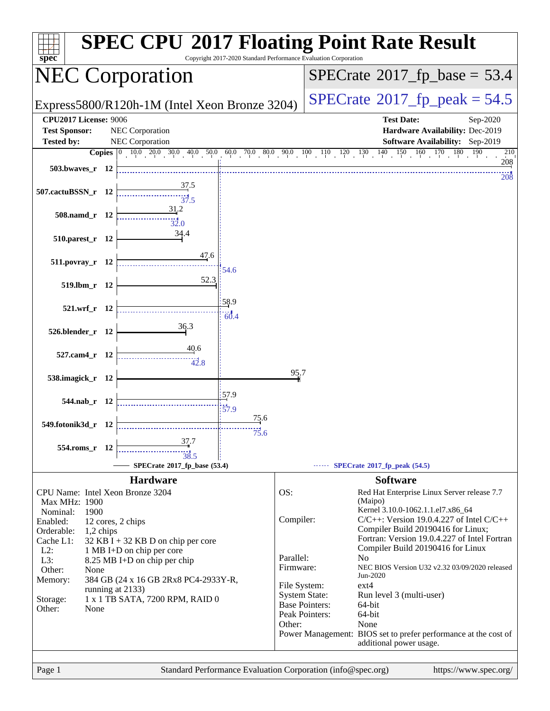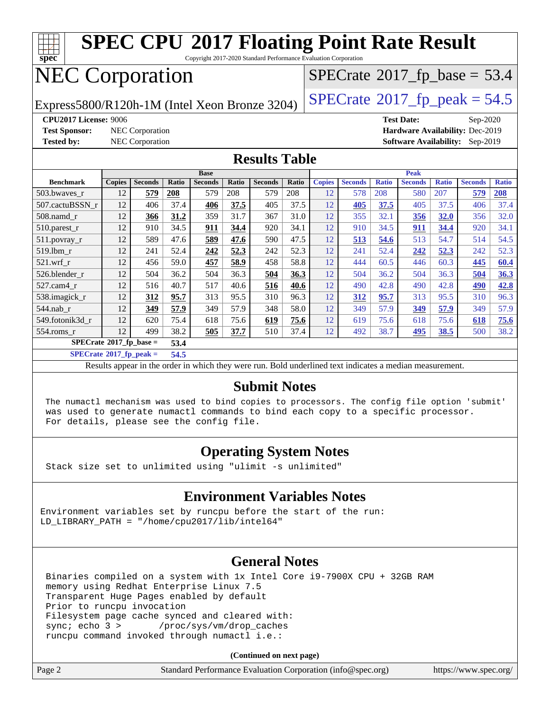

Copyright 2017-2020 Standard Performance Evaluation Corporation

# NEC Corporation

 $SPECrate$ <sup>®</sup>[2017\\_fp\\_base =](http://www.spec.org/auto/cpu2017/Docs/result-fields.html#SPECrate2017fpbase) 53.4

Express5800/R120h-1M (Intel Xeon Bronze 3204) [SPECrate](http://www.spec.org/auto/cpu2017/Docs/result-fields.html#SPECrate2017fppeak)<sup>®</sup>[2017\\_fp\\_peak = 5](http://www.spec.org/auto/cpu2017/Docs/result-fields.html#SPECrate2017fppeak)4.5

**[CPU2017 License:](http://www.spec.org/auto/cpu2017/Docs/result-fields.html#CPU2017License)** 9006 **[Test Date:](http://www.spec.org/auto/cpu2017/Docs/result-fields.html#TestDate)** Sep-2020 **[Test Sponsor:](http://www.spec.org/auto/cpu2017/Docs/result-fields.html#TestSponsor)** NEC Corporation **[Hardware Availability:](http://www.spec.org/auto/cpu2017/Docs/result-fields.html#HardwareAvailability)** Dec-2019 **[Tested by:](http://www.spec.org/auto/cpu2017/Docs/result-fields.html#Testedby)** NEC Corporation **[Software Availability:](http://www.spec.org/auto/cpu2017/Docs/result-fields.html#SoftwareAvailability)** Sep-2019

#### **[Results Table](http://www.spec.org/auto/cpu2017/Docs/result-fields.html#ResultsTable)**

|                             | <b>Base</b>   |                |       |                | <b>Peak</b> |                |       |               |                |              |                |              |                |              |
|-----------------------------|---------------|----------------|-------|----------------|-------------|----------------|-------|---------------|----------------|--------------|----------------|--------------|----------------|--------------|
| <b>Benchmark</b>            | <b>Copies</b> | <b>Seconds</b> | Ratio | <b>Seconds</b> | Ratio       | <b>Seconds</b> | Ratio | <b>Copies</b> | <b>Seconds</b> | <b>Ratio</b> | <b>Seconds</b> | <b>Ratio</b> | <b>Seconds</b> | <b>Ratio</b> |
| 503.bwayes_r                | 12            | 579            | 208   | 579            | 208         | 579            | 208   | 12            | 578            | 208          | 580            | 207          | 579            | <b>208</b>   |
| 507.cactuBSSN r             | 12            | 406            | 37.4  | 406            | 37.5        | 405            | 37.5  | 12            | <b>405</b>     | 37.5         | 405            | 37.5         | 406            | 37.4         |
| 508.namd_r                  | 12            | 366            | 31.2  | 359            | 31.7        | 367            | 31.0  | 12            | 355            | 32.1         | 356            | 32.0         | 356            | 32.0         |
| $510.parest_r$              | 12            | 910            | 34.5  | 911            | 34.4        | 920            | 34.1  | 12            | 910            | 34.5         | <u>911</u>     | 34.4         | 920            | 34.1         |
| 511.povray_r                | 12            | 589            | 47.6  | 589            | 47.6        | 590            | 47.5  | 12            | 513            | 54.6         | 513            | 54.7         | 514            | 54.5         |
| 519.1bm r                   | 12            | 241            | 52.4  | 242            | 52.3        | 242            | 52.3  | 12            | 241            | 52.4         | 242            | 52.3         | 242            | 52.3         |
| $521$ .wrf r                | 12            | 456            | 59.0  | 457            | 58.9        | 458            | 58.8  | 12            | 444            | 60.5         | 446            | 60.3         | 445            | 60.4         |
| 526.blender r               | 12            | 504            | 36.2  | 504            | 36.3        | 504            | 36.3  | 12            | 504            | 36.2         | 504            | 36.3         | 504            | 36.3         |
| $527.cam4_r$                | 12            | 516            | 40.7  | 517            | 40.6        | 516            | 40.6  | 12            | 490            | 42.8         | 490            | 42.8         | 490            | 42.8         |
| 538.imagick_r               | 12            | 312            | 95.7  | 313            | 95.5        | 310            | 96.3  | 12            | 312            | 95.7         | 313            | 95.5         | 310            | 96.3         |
| 544.nab r                   | 12            | 349            | 57.9  | 349            | 57.9        | 348            | 58.0  | 12            | 349            | 57.9         | 349            | 57.9         | 349            | 57.9         |
| 549.fotonik3d r             | 12            | 620            | 75.4  | 618            | 75.6        | 619            | 75.6  | 12            | 619            | 75.6         | 618            | 75.6         | 618            | 75.6         |
| $554$ .roms $r$             | 12            | 499            | 38.2  | 505            | 37.7        | 510            | 37.4  | 12            | 492            | 38.7         | 495            | 38.5         | 500            | 38.2         |
| $SPECrate^*2017_fp\_base =$ |               |                | 53.4  |                |             |                |       |               |                |              |                |              |                |              |

**[SPECrate](http://www.spec.org/auto/cpu2017/Docs/result-fields.html#SPECrate2017fppeak)[2017\\_fp\\_peak =](http://www.spec.org/auto/cpu2017/Docs/result-fields.html#SPECrate2017fppeak) 54.5**

Results appear in the [order in which they were run.](http://www.spec.org/auto/cpu2017/Docs/result-fields.html#RunOrder) Bold underlined text [indicates a median measurement.](http://www.spec.org/auto/cpu2017/Docs/result-fields.html#Median)

#### **[Submit Notes](http://www.spec.org/auto/cpu2017/Docs/result-fields.html#SubmitNotes)**

 The numactl mechanism was used to bind copies to processors. The config file option 'submit' was used to generate numactl commands to bind each copy to a specific processor. For details, please see the config file.

#### **[Operating System Notes](http://www.spec.org/auto/cpu2017/Docs/result-fields.html#OperatingSystemNotes)**

Stack size set to unlimited using "ulimit -s unlimited"

#### **[Environment Variables Notes](http://www.spec.org/auto/cpu2017/Docs/result-fields.html#EnvironmentVariablesNotes)**

Environment variables set by runcpu before the start of the run: LD\_LIBRARY\_PATH = "/home/cpu2017/lib/intel64"

#### **[General Notes](http://www.spec.org/auto/cpu2017/Docs/result-fields.html#GeneralNotes)**

 Binaries compiled on a system with 1x Intel Core i9-7900X CPU + 32GB RAM memory using Redhat Enterprise Linux 7.5 Transparent Huge Pages enabled by default Prior to runcpu invocation Filesystem page cache synced and cleared with: sync; echo 3 > /proc/sys/vm/drop\_caches runcpu command invoked through numactl i.e.:

**(Continued on next page)**

| Page 2<br>Standard Performance Evaluation Corporation (info@spec.org) | https://www.spec.org/ |
|-----------------------------------------------------------------------|-----------------------|
|-----------------------------------------------------------------------|-----------------------|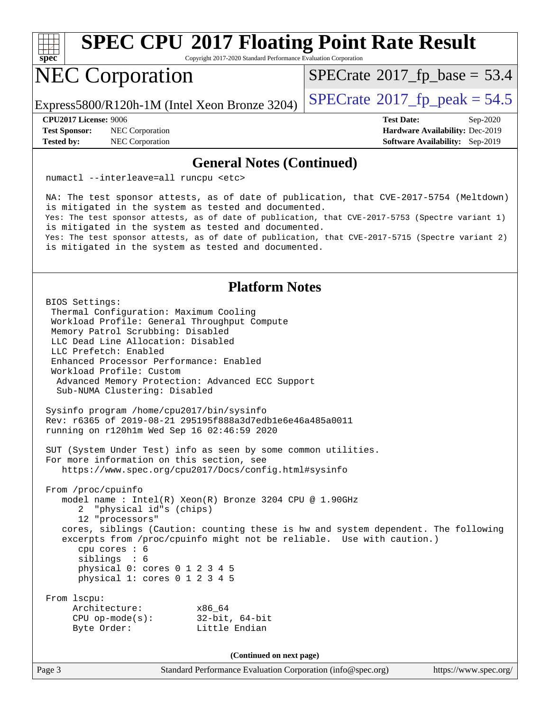

Copyright 2017-2020 Standard Performance Evaluation Corporation

# NEC Corporation

Express5800/R120h-1M (Intel Xeon Bronze 3204) [SPECrate](http://www.spec.org/auto/cpu2017/Docs/result-fields.html#SPECrate2017fppeak)<sup>®</sup>[2017\\_fp\\_peak = 5](http://www.spec.org/auto/cpu2017/Docs/result-fields.html#SPECrate2017fppeak)4.5

 $SPECrate$ <sup>®</sup>[2017\\_fp\\_base =](http://www.spec.org/auto/cpu2017/Docs/result-fields.html#SPECrate2017fpbase) 53.4

**[Test Sponsor:](http://www.spec.org/auto/cpu2017/Docs/result-fields.html#TestSponsor)** NEC Corporation **[Hardware Availability:](http://www.spec.org/auto/cpu2017/Docs/result-fields.html#HardwareAvailability)** Dec-2019 **[Tested by:](http://www.spec.org/auto/cpu2017/Docs/result-fields.html#Testedby)** NEC Corporation **[Software Availability:](http://www.spec.org/auto/cpu2017/Docs/result-fields.html#SoftwareAvailability)** Sep-2019

**[CPU2017 License:](http://www.spec.org/auto/cpu2017/Docs/result-fields.html#CPU2017License)** 9006 **[Test Date:](http://www.spec.org/auto/cpu2017/Docs/result-fields.html#TestDate)** Sep-2020

#### **[General Notes \(Continued\)](http://www.spec.org/auto/cpu2017/Docs/result-fields.html#GeneralNotes)**

numactl --interleave=all runcpu <etc>

 NA: The test sponsor attests, as of date of publication, that CVE-2017-5754 (Meltdown) is mitigated in the system as tested and documented. Yes: The test sponsor attests, as of date of publication, that CVE-2017-5753 (Spectre variant 1) is mitigated in the system as tested and documented. Yes: The test sponsor attests, as of date of publication, that CVE-2017-5715 (Spectre variant 2) is mitigated in the system as tested and documented.

#### **[Platform Notes](http://www.spec.org/auto/cpu2017/Docs/result-fields.html#PlatformNotes)**

 BIOS Settings: Thermal Configuration: Maximum Cooling Workload Profile: General Throughput Compute Memory Patrol Scrubbing: Disabled LLC Dead Line Allocation: Disabled LLC Prefetch: Enabled Enhanced Processor Performance: Enabled Workload Profile: Custom Advanced Memory Protection: Advanced ECC Support Sub-NUMA Clustering: Disabled Sysinfo program /home/cpu2017/bin/sysinfo Rev: r6365 of 2019-08-21 295195f888a3d7edb1e6e46a485a0011 running on r120h1m Wed Sep 16 02:46:59 2020 SUT (System Under Test) info as seen by some common utilities. For more information on this section, see <https://www.spec.org/cpu2017/Docs/config.html#sysinfo> From /proc/cpuinfo model name : Intel(R) Xeon(R) Bronze 3204 CPU @ 1.90GHz 2 "physical id"s (chips) 12 "processors" cores, siblings (Caution: counting these is hw and system dependent. The following excerpts from /proc/cpuinfo might not be reliable. Use with caution.) cpu cores : 6 siblings : 6 physical 0: cores 0 1 2 3 4 5 physical 1: cores 0 1 2 3 4 5 From lscpu: Architecture: x86\_64 CPU op-mode(s): 32-bit, 64-bit Byte Order: Little Endian

**(Continued on next page)**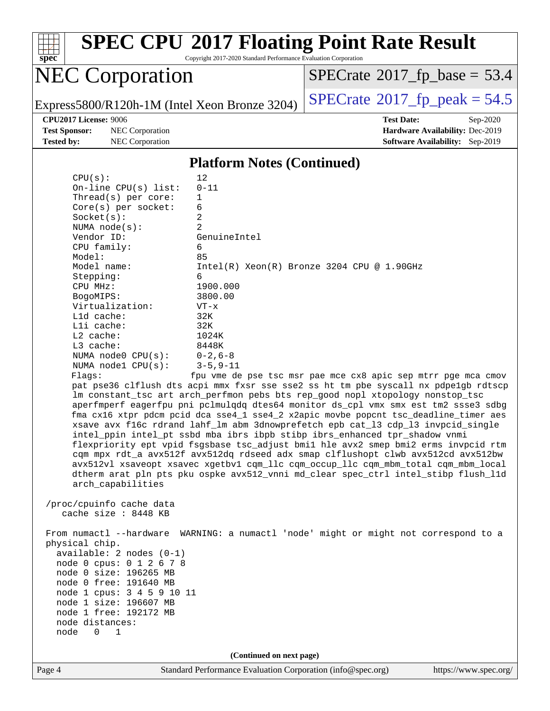

Copyright 2017-2020 Standard Performance Evaluation Corporation

# NEC Corporation

 $SPECTate@2017_fp\_base = 53.4$ 

Express5800/R120h-1M (Intel Xeon Bronze 3204) [SPECrate](http://www.spec.org/auto/cpu2017/Docs/result-fields.html#SPECrate2017fppeak)<sup>®</sup>[2017\\_fp\\_peak = 5](http://www.spec.org/auto/cpu2017/Docs/result-fields.html#SPECrate2017fppeak)4.5

**[Test Sponsor:](http://www.spec.org/auto/cpu2017/Docs/result-fields.html#TestSponsor)** NEC Corporation **[Hardware Availability:](http://www.spec.org/auto/cpu2017/Docs/result-fields.html#HardwareAvailability)** Dec-2019 **[Tested by:](http://www.spec.org/auto/cpu2017/Docs/result-fields.html#Testedby)** NEC Corporation **[Software Availability:](http://www.spec.org/auto/cpu2017/Docs/result-fields.html#SoftwareAvailability)** Sep-2019

**[CPU2017 License:](http://www.spec.org/auto/cpu2017/Docs/result-fields.html#CPU2017License)** 9006 **[Test Date:](http://www.spec.org/auto/cpu2017/Docs/result-fields.html#TestDate)** Sep-2020

#### **[Platform Notes \(Continued\)](http://www.spec.org/auto/cpu2017/Docs/result-fields.html#PlatformNotes)**

| CPU(s):                 | $12 \overline{ }$                                                                    |
|-------------------------|--------------------------------------------------------------------------------------|
| On-line $CPU(s)$ list:  | $0 - 11$                                                                             |
| Thread( $s$ ) per core: | $\mathbf{1}$                                                                         |
| $Core(s)$ per socket:   | 6                                                                                    |
| Socket(s):              | 2                                                                                    |
| NUMA $node(s)$ :        | $\mathfrak{D}$                                                                       |
| Vendor ID:              | GenuineIntel                                                                         |
| CPU family:             | б.                                                                                   |
| Model:                  | 85                                                                                   |
| Model name:             | $Intel(R) Xeon(R) Bronze 3204 CPU @ 1.90GHz$                                         |
| Stepping:               | 6                                                                                    |
| CPU MHz:                | 1900.000                                                                             |
| BogoMIPS:               | 3800.00                                                                              |
| Virtualization:         | $VT - x$                                                                             |
| L1d cache:              | 32K                                                                                  |
| Lli cache:              | 32K                                                                                  |
| $L2$ cache:             | 1024K                                                                                |
| $L3$ cache:             | 8448K                                                                                |
| NUMA node0 CPU(s):      | $0 - 2$ , 6-8                                                                        |
| NUMA $node1$ $CPU(s):$  | $3 - 5, 9 - 11$                                                                      |
| Flaqs:                  | fpu vme de pse tsc msr pae mce cx8 apic sep mtrr pqe mca cmov                        |
|                         | pat pse36 clflush dts acpi mmx fxsr sse sse2 ss ht tm pbe syscall nx pdpe1gb rdtscp  |
|                         | Im constant tsc art arch perfmon pebs bts rep good nopl xtopology nonstop tsc        |
|                         | aperfmperf eagerfpu pni pclmulqdq dtes64 monitor ds_cpl vmx smx est tm2 ssse3 sdbg   |
|                         | fma cx16 xtpr pdcm pcid dca sse4_1 sse4_2 x2apic movbe popcnt tsc_deadline_timer aes |
|                         | xsave avx f16c rdrand lahf_lm abm 3dnowprefetch epb cat_13 cdp_13 invpcid_single     |
|                         | intel_ppin intel_pt ssbd mba ibrs ibpb stibp ibrs_enhanced tpr_shadow vnmi           |
|                         | flexpriority ept vpid fsgsbase tsc_adjust bmil hle avx2 smep bmi2 erms invpcid rtm   |
|                         | cqm mpx rdt_a avx512f avx512dq rdseed adx smap clflushopt clwb avx512cd avx512bw     |

 avx512vl xsaveopt xsavec xgetbv1 cqm\_llc cqm\_occup\_llc cqm\_mbm\_total cqm\_mbm\_local dtherm arat pln pts pku ospke avx512\_vnni md\_clear spec\_ctrl intel\_stibp flush\_l1d arch\_capabilities

 /proc/cpuinfo cache data cache size : 8448 KB

 From numactl --hardware WARNING: a numactl 'node' might or might not correspond to a physical chip. available: 2 nodes (0-1) node 0 cpus: 0 1 2 6 7 8

 node 0 size: 196265 MB node 0 free: 191640 MB

 node 1 cpus: 3 4 5 9 10 11 node 1 size: 196607 MB

 node 1 free: 192172 MB node distances:

node 0 1

**(Continued on next page)**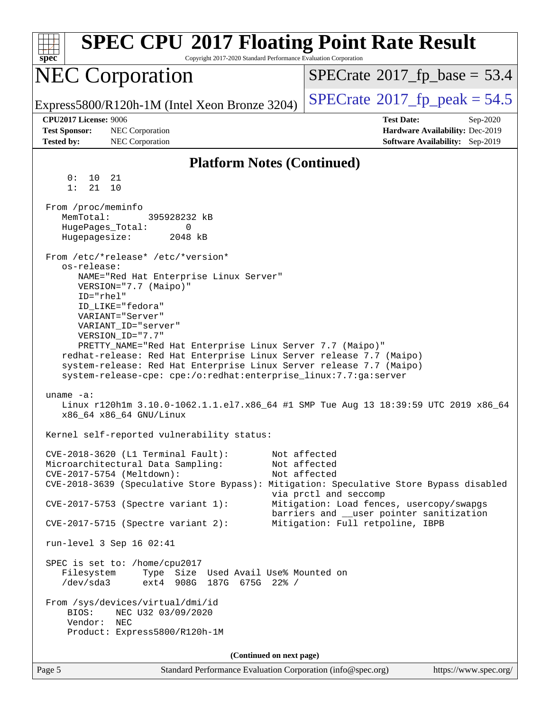| <b>SPEC CPU®2017 Floating Point Rate Result</b><br>Copyright 2017-2020 Standard Performance Evaluation Corporation<br>$spec^*$                                                                                                                                                                                                                                                                                                                                                                      |                                                                                                            |  |  |
|-----------------------------------------------------------------------------------------------------------------------------------------------------------------------------------------------------------------------------------------------------------------------------------------------------------------------------------------------------------------------------------------------------------------------------------------------------------------------------------------------------|------------------------------------------------------------------------------------------------------------|--|--|
| <b>NEC Corporation</b>                                                                                                                                                                                                                                                                                                                                                                                                                                                                              | $SPECrate^{\circ}2017$ [p_base = 53.4                                                                      |  |  |
| Express5800/R120h-1M (Intel Xeon Bronze 3204)                                                                                                                                                                                                                                                                                                                                                                                                                                                       | $SPECrate^{\circ}2017$ _fp_peak = 54.5                                                                     |  |  |
| CPU2017 License: 9006<br><b>Test Sponsor:</b><br>NEC Corporation<br>NEC Corporation<br><b>Tested by:</b>                                                                                                                                                                                                                                                                                                                                                                                            | <b>Test Date:</b><br>Sep-2020<br>Hardware Availability: Dec-2019<br><b>Software Availability:</b> Sep-2019 |  |  |
| <b>Platform Notes (Continued)</b>                                                                                                                                                                                                                                                                                                                                                                                                                                                                   |                                                                                                            |  |  |
| 0:<br>10<br>21<br>1:<br>21<br>10                                                                                                                                                                                                                                                                                                                                                                                                                                                                    |                                                                                                            |  |  |
| From /proc/meminfo<br>MemTotal:<br>395928232 kB<br>HugePages_Total:<br>0<br>Hugepagesize:<br>2048 kB                                                                                                                                                                                                                                                                                                                                                                                                |                                                                                                            |  |  |
| From /etc/*release* /etc/*version*<br>os-release:<br>NAME="Red Hat Enterprise Linux Server"<br>VERSION="7.7 (Maipo)"<br>ID="rhel"<br>ID LIKE="fedora"<br>VARIANT="Server"<br>VARIANT_ID="server"<br>VERSION_ID="7.7"<br>PRETTY_NAME="Red Hat Enterprise Linux Server 7.7 (Maipo)"<br>redhat-release: Red Hat Enterprise Linux Server release 7.7 (Maipo)<br>system-release: Red Hat Enterprise Linux Server release 7.7 (Maipo)<br>system-release-cpe: cpe:/o:redhat:enterprise_linux:7.7:ga:server |                                                                                                            |  |  |
| uname $-a$ :<br>Linux r120hlm 3.10.0-1062.1.1.el7.x86_64 #1 SMP Tue Aug 13 18:39:59 UTC 2019 x86_64<br>x86_64 x86_64 GNU/Linux                                                                                                                                                                                                                                                                                                                                                                      |                                                                                                            |  |  |
| Kernel self-reported vulnerability status:                                                                                                                                                                                                                                                                                                                                                                                                                                                          |                                                                                                            |  |  |
| CVE-2018-3620 (L1 Terminal Fault):<br>Not affected<br>Microarchitectural Data Sampling:<br>Not affected<br>CVE-2017-5754 (Meltdown):<br>Not affected<br>CVE-2018-3639 (Speculative Store Bypass): Mitigation: Speculative Store Bypass disabled<br>via prctl and seccomp<br>CVE-2017-5753 (Spectre variant 1):<br>Mitigation: Load fences, usercopy/swapgs<br>barriers and __user pointer sanitization                                                                                              |                                                                                                            |  |  |
| $CVE-2017-5715$ (Spectre variant 2):                                                                                                                                                                                                                                                                                                                                                                                                                                                                | Mitigation: Full retpoline, IBPB                                                                           |  |  |
| run-level 3 Sep 16 02:41                                                                                                                                                                                                                                                                                                                                                                                                                                                                            |                                                                                                            |  |  |
| SPEC is set to: /home/cpu2017<br>Filesystem<br>Type Size Used Avail Use% Mounted on<br>/dev/sda3<br>ext4 908G 187G 675G 22% /                                                                                                                                                                                                                                                                                                                                                                       |                                                                                                            |  |  |
| From /sys/devices/virtual/dmi/id<br>BIOS:<br>NEC U32 03/09/2020<br>Vendor:<br>NEC<br>Product: Express5800/R120h-1M                                                                                                                                                                                                                                                                                                                                                                                  |                                                                                                            |  |  |
| (Continued on next page)                                                                                                                                                                                                                                                                                                                                                                                                                                                                            |                                                                                                            |  |  |
| Page 5<br>Standard Performance Evaluation Corporation (info@spec.org)                                                                                                                                                                                                                                                                                                                                                                                                                               | https://www.spec.org/                                                                                      |  |  |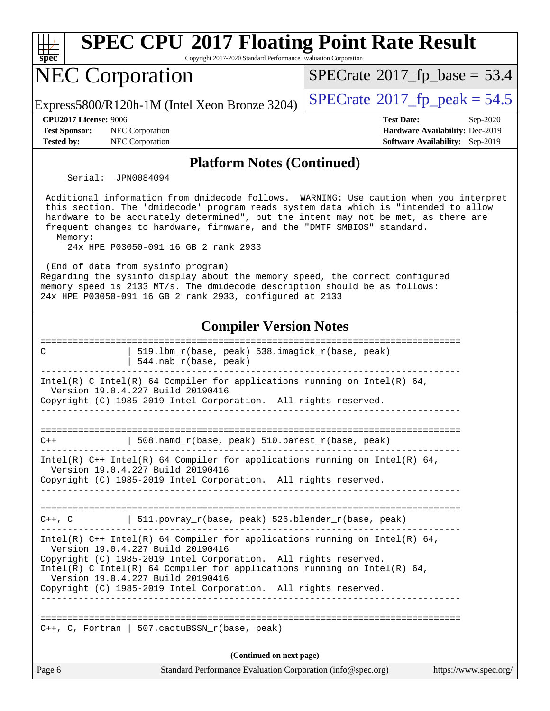

**[Platform Notes \(Continued\)](http://www.spec.org/auto/cpu2017/Docs/result-fields.html#PlatformNotes)**

Serial: JPN0084094

 Additional information from dmidecode follows. WARNING: Use caution when you interpret this section. The 'dmidecode' program reads system data which is "intended to allow hardware to be accurately determined", but the intent may not be met, as there are frequent changes to hardware, firmware, and the "DMTF SMBIOS" standard. Memory:

24x HPE P03050-091 16 GB 2 rank 2933

(End of data from sysinfo program)

Regarding the sysinfo display about the memory speed, the correct configured memory speed is 2133 MT/s. The dmidecode description should be as follows: 24x HPE P03050-091 16 GB 2 rank 2933, configured at 2133

#### **[Compiler Version Notes](http://www.spec.org/auto/cpu2017/Docs/result-fields.html#CompilerVersionNotes)**

| C      | 519.1bm_r(base, peak) 538.imagick_r(base, peak)<br>$544.nab_r(base, peak)$                                                                                                       |  |
|--------|----------------------------------------------------------------------------------------------------------------------------------------------------------------------------------|--|
|        | Intel(R) C Intel(R) 64 Compiler for applications running on Intel(R) 64,<br>Version 19.0.4.227 Build 20190416                                                                    |  |
|        | Copyright (C) 1985-2019 Intel Corporation. All rights reserved.<br>_____________________________________                                                                         |  |
| $C++$  | 508.namd_r(base, peak) 510.parest_r(base, peak)                                                                                                                                  |  |
|        | Intel(R) $C++$ Intel(R) 64 Compiler for applications running on Intel(R) 64,<br>Version 19.0.4.227 Build 20190416                                                                |  |
|        | Copyright (C) 1985-2019 Intel Corporation. All rights reserved.                                                                                                                  |  |
|        | $C++$ , C $\qquad$ 511.povray_r(base, peak) 526.blender_r(base, peak)                                                                                                            |  |
|        | Intel(R) $C++$ Intel(R) 64 Compiler for applications running on Intel(R) 64,<br>Version 19.0.4.227 Build 20190416                                                                |  |
|        | Copyright (C) 1985-2019 Intel Corporation. All rights reserved.<br>Intel(R) C Intel(R) 64 Compiler for applications running on Intel(R) 64,<br>Version 19.0.4.227 Build 20190416 |  |
|        | Copyright (C) 1985-2019 Intel Corporation. All rights reserved.                                                                                                                  |  |
|        | ----------------                                                                                                                                                                 |  |
|        | C++, C, Fortran   507.cactuBSSN_r(base, peak)                                                                                                                                    |  |
|        | (Continued on next page)                                                                                                                                                         |  |
| Page 6 | Standard Performance Evaluation Corporation (info@spec.org)<br>https://www.spec.org/                                                                                             |  |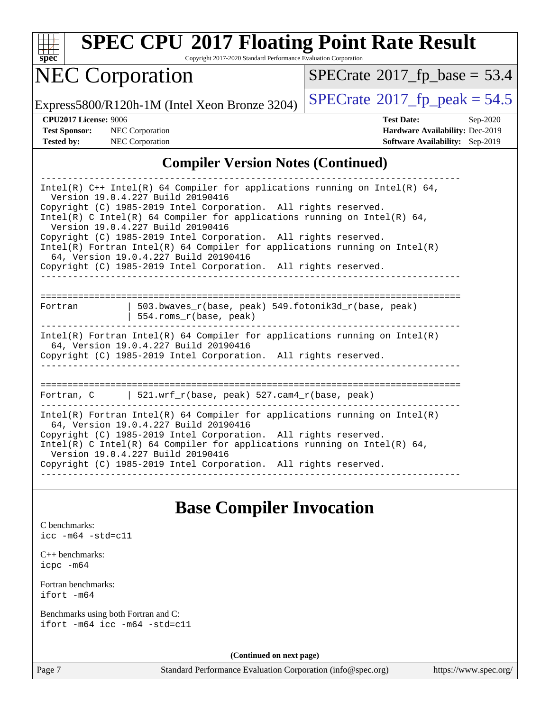

Copyright 2017-2020 Standard Performance Evaluation Corporation

# NEC Corporation

 $SPECrate$ <sup>®</sup>[2017\\_fp\\_base =](http://www.spec.org/auto/cpu2017/Docs/result-fields.html#SPECrate2017fpbase) 53.4

Express5800/R120h-1M (Intel Xeon Bronze 3204) [SPECrate](http://www.spec.org/auto/cpu2017/Docs/result-fields.html#SPECrate2017fppeak)<sup>®</sup>[2017\\_fp\\_peak = 5](http://www.spec.org/auto/cpu2017/Docs/result-fields.html#SPECrate2017fppeak)4.5

**[Tested by:](http://www.spec.org/auto/cpu2017/Docs/result-fields.html#Testedby)** NEC Corporation **[Software Availability:](http://www.spec.org/auto/cpu2017/Docs/result-fields.html#SoftwareAvailability)** Sep-2019

**[CPU2017 License:](http://www.spec.org/auto/cpu2017/Docs/result-fields.html#CPU2017License)** 9006 **[Test Date:](http://www.spec.org/auto/cpu2017/Docs/result-fields.html#TestDate)** Sep-2020 **[Test Sponsor:](http://www.spec.org/auto/cpu2017/Docs/result-fields.html#TestSponsor)** NEC Corporation **[Hardware Availability:](http://www.spec.org/auto/cpu2017/Docs/result-fields.html#HardwareAvailability)** Dec-2019

#### **[Compiler Version Notes \(Continued\)](http://www.spec.org/auto/cpu2017/Docs/result-fields.html#CompilerVersionNotes)**

| Intel(R) $C++$ Intel(R) 64 Compiler for applications running on Intel(R) 64,<br>Version 19.0.4.227 Build 20190416<br>Copyright (C) 1985-2019 Intel Corporation. All rights reserved.<br>Intel(R) C Intel(R) 64 Compiler for applications running on Intel(R) 64, |                                                                                                                                                                                          |  |  |  |  |  |
|------------------------------------------------------------------------------------------------------------------------------------------------------------------------------------------------------------------------------------------------------------------|------------------------------------------------------------------------------------------------------------------------------------------------------------------------------------------|--|--|--|--|--|
|                                                                                                                                                                                                                                                                  | Version 19.0.4.227 Build 20190416                                                                                                                                                        |  |  |  |  |  |
|                                                                                                                                                                                                                                                                  | Copyright (C) 1985-2019 Intel Corporation. All rights reserved.<br>$Intel(R)$ Fortran Intel(R) 64 Compiler for applications running on Intel(R)<br>64, Version 19.0.4.227 Build 20190416 |  |  |  |  |  |
|                                                                                                                                                                                                                                                                  | Copyright (C) 1985-2019 Intel Corporation. All rights reserved.                                                                                                                          |  |  |  |  |  |
|                                                                                                                                                                                                                                                                  |                                                                                                                                                                                          |  |  |  |  |  |
| Fortran                                                                                                                                                                                                                                                          | 503.bwaves $r(base, peak)$ 549.fotonik3d $r(base, peak)$<br>554.roms_r(base, peak)                                                                                                       |  |  |  |  |  |
|                                                                                                                                                                                                                                                                  | Intel(R) Fortran Intel(R) 64 Compiler for applications running on Intel(R)<br>64, Version 19.0.4.227 Build 20190416                                                                      |  |  |  |  |  |
| Copyright (C) 1985-2019 Intel Corporation. All rights reserved.                                                                                                                                                                                                  |                                                                                                                                                                                          |  |  |  |  |  |
|                                                                                                                                                                                                                                                                  | ---------------                                                                                                                                                                          |  |  |  |  |  |
|                                                                                                                                                                                                                                                                  | Fortran, C $\vert$ 521.wrf r(base, peak) 527.cam4 r(base, peak)                                                                                                                          |  |  |  |  |  |
| Intel(R) Fortran Intel(R) 64 Compiler for applications running on Intel(R)<br>64, Version 19.0.4.227 Build 20190416                                                                                                                                              |                                                                                                                                                                                          |  |  |  |  |  |
| Copyright (C) 1985-2019 Intel Corporation. All rights reserved.<br>Intel(R) C Intel(R) 64 Compiler for applications running on Intel(R) 64,<br>Version 19.0.4.227 Build 20190416                                                                                 |                                                                                                                                                                                          |  |  |  |  |  |
|                                                                                                                                                                                                                                                                  | Copyright (C) 1985-2019 Intel Corporation. All rights reserved.                                                                                                                          |  |  |  |  |  |
|                                                                                                                                                                                                                                                                  |                                                                                                                                                                                          |  |  |  |  |  |

### **[Base Compiler Invocation](http://www.spec.org/auto/cpu2017/Docs/result-fields.html#BaseCompilerInvocation)**

| C benchmarks: |  |                            |  |  |  |
|---------------|--|----------------------------|--|--|--|
|               |  | $\text{icc -m64 -std=c11}$ |  |  |  |

[C++ benchmarks:](http://www.spec.org/auto/cpu2017/Docs/result-fields.html#CXXbenchmarks) [icpc -m64](http://www.spec.org/cpu2017/results/res2020q4/cpu2017-20200928-24121.flags.html#user_CXXbase_intel_icpc_64bit_4ecb2543ae3f1412ef961e0650ca070fec7b7afdcd6ed48761b84423119d1bf6bdf5cad15b44d48e7256388bc77273b966e5eb805aefd121eb22e9299b2ec9d9)

[Fortran benchmarks](http://www.spec.org/auto/cpu2017/Docs/result-fields.html#Fortranbenchmarks): [ifort -m64](http://www.spec.org/cpu2017/results/res2020q4/cpu2017-20200928-24121.flags.html#user_FCbase_intel_ifort_64bit_24f2bb282fbaeffd6157abe4f878425411749daecae9a33200eee2bee2fe76f3b89351d69a8130dd5949958ce389cf37ff59a95e7a40d588e8d3a57e0c3fd751)

[Benchmarks using both Fortran and C](http://www.spec.org/auto/cpu2017/Docs/result-fields.html#BenchmarksusingbothFortranandC): [ifort -m64](http://www.spec.org/cpu2017/results/res2020q4/cpu2017-20200928-24121.flags.html#user_CC_FCbase_intel_ifort_64bit_24f2bb282fbaeffd6157abe4f878425411749daecae9a33200eee2bee2fe76f3b89351d69a8130dd5949958ce389cf37ff59a95e7a40d588e8d3a57e0c3fd751) [icc -m64 -std=c11](http://www.spec.org/cpu2017/results/res2020q4/cpu2017-20200928-24121.flags.html#user_CC_FCbase_intel_icc_64bit_c11_33ee0cdaae7deeeab2a9725423ba97205ce30f63b9926c2519791662299b76a0318f32ddfffdc46587804de3178b4f9328c46fa7c2b0cd779d7a61945c91cd35)

**(Continued on next page)**

Page 7 Standard Performance Evaluation Corporation [\(info@spec.org\)](mailto:info@spec.org) <https://www.spec.org/>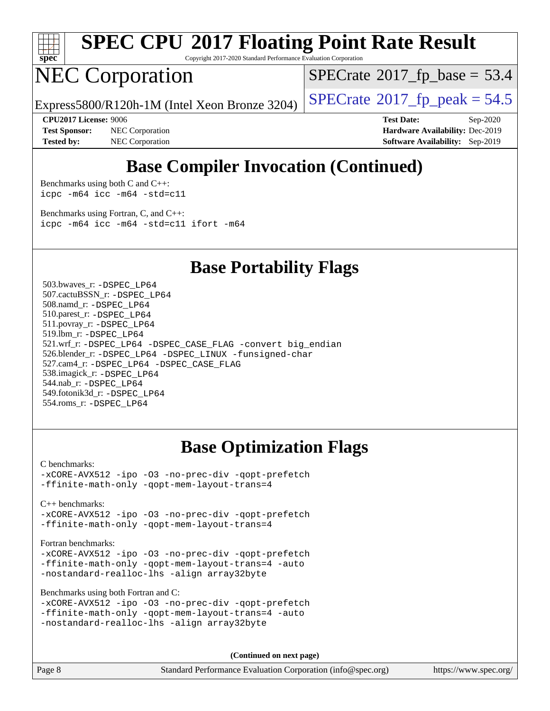

Copyright 2017-2020 Standard Performance Evaluation Corporation

# NEC Corporation

 $SPECrate$ <sup>®</sup>[2017\\_fp\\_base =](http://www.spec.org/auto/cpu2017/Docs/result-fields.html#SPECrate2017fpbase) 53.4

Express5800/R120h-1M (Intel Xeon Bronze 3204) [SPECrate](http://www.spec.org/auto/cpu2017/Docs/result-fields.html#SPECrate2017fppeak)®[2017\\_fp\\_peak = 5](http://www.spec.org/auto/cpu2017/Docs/result-fields.html#SPECrate2017fppeak)4.5

**[Test Sponsor:](http://www.spec.org/auto/cpu2017/Docs/result-fields.html#TestSponsor)** NEC Corporation **[Hardware Availability:](http://www.spec.org/auto/cpu2017/Docs/result-fields.html#HardwareAvailability)** Dec-2019 **[Tested by:](http://www.spec.org/auto/cpu2017/Docs/result-fields.html#Testedby)** NEC Corporation **[Software Availability:](http://www.spec.org/auto/cpu2017/Docs/result-fields.html#SoftwareAvailability)** Sep-2019

**[CPU2017 License:](http://www.spec.org/auto/cpu2017/Docs/result-fields.html#CPU2017License)** 9006 **[Test Date:](http://www.spec.org/auto/cpu2017/Docs/result-fields.html#TestDate)** Sep-2020

### **[Base Compiler Invocation \(Continued\)](http://www.spec.org/auto/cpu2017/Docs/result-fields.html#BaseCompilerInvocation)**

[Benchmarks using both C and C++](http://www.spec.org/auto/cpu2017/Docs/result-fields.html#BenchmarksusingbothCandCXX): [icpc -m64](http://www.spec.org/cpu2017/results/res2020q4/cpu2017-20200928-24121.flags.html#user_CC_CXXbase_intel_icpc_64bit_4ecb2543ae3f1412ef961e0650ca070fec7b7afdcd6ed48761b84423119d1bf6bdf5cad15b44d48e7256388bc77273b966e5eb805aefd121eb22e9299b2ec9d9) [icc -m64 -std=c11](http://www.spec.org/cpu2017/results/res2020q4/cpu2017-20200928-24121.flags.html#user_CC_CXXbase_intel_icc_64bit_c11_33ee0cdaae7deeeab2a9725423ba97205ce30f63b9926c2519791662299b76a0318f32ddfffdc46587804de3178b4f9328c46fa7c2b0cd779d7a61945c91cd35)

[Benchmarks using Fortran, C, and C++:](http://www.spec.org/auto/cpu2017/Docs/result-fields.html#BenchmarksusingFortranCandCXX) [icpc -m64](http://www.spec.org/cpu2017/results/res2020q4/cpu2017-20200928-24121.flags.html#user_CC_CXX_FCbase_intel_icpc_64bit_4ecb2543ae3f1412ef961e0650ca070fec7b7afdcd6ed48761b84423119d1bf6bdf5cad15b44d48e7256388bc77273b966e5eb805aefd121eb22e9299b2ec9d9) [icc -m64 -std=c11](http://www.spec.org/cpu2017/results/res2020q4/cpu2017-20200928-24121.flags.html#user_CC_CXX_FCbase_intel_icc_64bit_c11_33ee0cdaae7deeeab2a9725423ba97205ce30f63b9926c2519791662299b76a0318f32ddfffdc46587804de3178b4f9328c46fa7c2b0cd779d7a61945c91cd35) [ifort -m64](http://www.spec.org/cpu2017/results/res2020q4/cpu2017-20200928-24121.flags.html#user_CC_CXX_FCbase_intel_ifort_64bit_24f2bb282fbaeffd6157abe4f878425411749daecae9a33200eee2bee2fe76f3b89351d69a8130dd5949958ce389cf37ff59a95e7a40d588e8d3a57e0c3fd751)

**[Base Portability Flags](http://www.spec.org/auto/cpu2017/Docs/result-fields.html#BasePortabilityFlags)**

 503.bwaves\_r: [-DSPEC\\_LP64](http://www.spec.org/cpu2017/results/res2020q4/cpu2017-20200928-24121.flags.html#suite_basePORTABILITY503_bwaves_r_DSPEC_LP64) 507.cactuBSSN\_r: [-DSPEC\\_LP64](http://www.spec.org/cpu2017/results/res2020q4/cpu2017-20200928-24121.flags.html#suite_basePORTABILITY507_cactuBSSN_r_DSPEC_LP64) 508.namd\_r: [-DSPEC\\_LP64](http://www.spec.org/cpu2017/results/res2020q4/cpu2017-20200928-24121.flags.html#suite_basePORTABILITY508_namd_r_DSPEC_LP64) 510.parest\_r: [-DSPEC\\_LP64](http://www.spec.org/cpu2017/results/res2020q4/cpu2017-20200928-24121.flags.html#suite_basePORTABILITY510_parest_r_DSPEC_LP64) 511.povray\_r: [-DSPEC\\_LP64](http://www.spec.org/cpu2017/results/res2020q4/cpu2017-20200928-24121.flags.html#suite_basePORTABILITY511_povray_r_DSPEC_LP64) 519.lbm\_r: [-DSPEC\\_LP64](http://www.spec.org/cpu2017/results/res2020q4/cpu2017-20200928-24121.flags.html#suite_basePORTABILITY519_lbm_r_DSPEC_LP64) 521.wrf\_r: [-DSPEC\\_LP64](http://www.spec.org/cpu2017/results/res2020q4/cpu2017-20200928-24121.flags.html#suite_basePORTABILITY521_wrf_r_DSPEC_LP64) [-DSPEC\\_CASE\\_FLAG](http://www.spec.org/cpu2017/results/res2020q4/cpu2017-20200928-24121.flags.html#b521.wrf_r_baseCPORTABILITY_DSPEC_CASE_FLAG) [-convert big\\_endian](http://www.spec.org/cpu2017/results/res2020q4/cpu2017-20200928-24121.flags.html#user_baseFPORTABILITY521_wrf_r_convert_big_endian_c3194028bc08c63ac5d04de18c48ce6d347e4e562e8892b8bdbdc0214820426deb8554edfa529a3fb25a586e65a3d812c835984020483e7e73212c4d31a38223) 526.blender\_r: [-DSPEC\\_LP64](http://www.spec.org/cpu2017/results/res2020q4/cpu2017-20200928-24121.flags.html#suite_basePORTABILITY526_blender_r_DSPEC_LP64) [-DSPEC\\_LINUX](http://www.spec.org/cpu2017/results/res2020q4/cpu2017-20200928-24121.flags.html#b526.blender_r_baseCPORTABILITY_DSPEC_LINUX) [-funsigned-char](http://www.spec.org/cpu2017/results/res2020q4/cpu2017-20200928-24121.flags.html#user_baseCPORTABILITY526_blender_r_force_uchar_40c60f00ab013830e2dd6774aeded3ff59883ba5a1fc5fc14077f794d777847726e2a5858cbc7672e36e1b067e7e5c1d9a74f7176df07886a243d7cc18edfe67) 527.cam4\_r: [-DSPEC\\_LP64](http://www.spec.org/cpu2017/results/res2020q4/cpu2017-20200928-24121.flags.html#suite_basePORTABILITY527_cam4_r_DSPEC_LP64) [-DSPEC\\_CASE\\_FLAG](http://www.spec.org/cpu2017/results/res2020q4/cpu2017-20200928-24121.flags.html#b527.cam4_r_baseCPORTABILITY_DSPEC_CASE_FLAG) 538.imagick\_r: [-DSPEC\\_LP64](http://www.spec.org/cpu2017/results/res2020q4/cpu2017-20200928-24121.flags.html#suite_basePORTABILITY538_imagick_r_DSPEC_LP64) 544.nab\_r: [-DSPEC\\_LP64](http://www.spec.org/cpu2017/results/res2020q4/cpu2017-20200928-24121.flags.html#suite_basePORTABILITY544_nab_r_DSPEC_LP64) 549.fotonik3d\_r: [-DSPEC\\_LP64](http://www.spec.org/cpu2017/results/res2020q4/cpu2017-20200928-24121.flags.html#suite_basePORTABILITY549_fotonik3d_r_DSPEC_LP64) 554.roms\_r: [-DSPEC\\_LP64](http://www.spec.org/cpu2017/results/res2020q4/cpu2017-20200928-24121.flags.html#suite_basePORTABILITY554_roms_r_DSPEC_LP64)

### **[Base Optimization Flags](http://www.spec.org/auto/cpu2017/Docs/result-fields.html#BaseOptimizationFlags)**

#### [C benchmarks](http://www.spec.org/auto/cpu2017/Docs/result-fields.html#Cbenchmarks):

[-xCORE-AVX512](http://www.spec.org/cpu2017/results/res2020q4/cpu2017-20200928-24121.flags.html#user_CCbase_f-xCORE-AVX512) [-ipo](http://www.spec.org/cpu2017/results/res2020q4/cpu2017-20200928-24121.flags.html#user_CCbase_f-ipo) [-O3](http://www.spec.org/cpu2017/results/res2020q4/cpu2017-20200928-24121.flags.html#user_CCbase_f-O3) [-no-prec-div](http://www.spec.org/cpu2017/results/res2020q4/cpu2017-20200928-24121.flags.html#user_CCbase_f-no-prec-div) [-qopt-prefetch](http://www.spec.org/cpu2017/results/res2020q4/cpu2017-20200928-24121.flags.html#user_CCbase_f-qopt-prefetch) [-ffinite-math-only](http://www.spec.org/cpu2017/results/res2020q4/cpu2017-20200928-24121.flags.html#user_CCbase_f_finite_math_only_cb91587bd2077682c4b38af759c288ed7c732db004271a9512da14a4f8007909a5f1427ecbf1a0fb78ff2a814402c6114ac565ca162485bbcae155b5e4258871) [-qopt-mem-layout-trans=4](http://www.spec.org/cpu2017/results/res2020q4/cpu2017-20200928-24121.flags.html#user_CCbase_f-qopt-mem-layout-trans_fa39e755916c150a61361b7846f310bcdf6f04e385ef281cadf3647acec3f0ae266d1a1d22d972a7087a248fd4e6ca390a3634700869573d231a252c784941a8)

[C++ benchmarks:](http://www.spec.org/auto/cpu2017/Docs/result-fields.html#CXXbenchmarks)

[-xCORE-AVX512](http://www.spec.org/cpu2017/results/res2020q4/cpu2017-20200928-24121.flags.html#user_CXXbase_f-xCORE-AVX512) [-ipo](http://www.spec.org/cpu2017/results/res2020q4/cpu2017-20200928-24121.flags.html#user_CXXbase_f-ipo) [-O3](http://www.spec.org/cpu2017/results/res2020q4/cpu2017-20200928-24121.flags.html#user_CXXbase_f-O3) [-no-prec-div](http://www.spec.org/cpu2017/results/res2020q4/cpu2017-20200928-24121.flags.html#user_CXXbase_f-no-prec-div) [-qopt-prefetch](http://www.spec.org/cpu2017/results/res2020q4/cpu2017-20200928-24121.flags.html#user_CXXbase_f-qopt-prefetch) [-ffinite-math-only](http://www.spec.org/cpu2017/results/res2020q4/cpu2017-20200928-24121.flags.html#user_CXXbase_f_finite_math_only_cb91587bd2077682c4b38af759c288ed7c732db004271a9512da14a4f8007909a5f1427ecbf1a0fb78ff2a814402c6114ac565ca162485bbcae155b5e4258871) [-qopt-mem-layout-trans=4](http://www.spec.org/cpu2017/results/res2020q4/cpu2017-20200928-24121.flags.html#user_CXXbase_f-qopt-mem-layout-trans_fa39e755916c150a61361b7846f310bcdf6f04e385ef281cadf3647acec3f0ae266d1a1d22d972a7087a248fd4e6ca390a3634700869573d231a252c784941a8)

[Fortran benchmarks](http://www.spec.org/auto/cpu2017/Docs/result-fields.html#Fortranbenchmarks):

[-xCORE-AVX512](http://www.spec.org/cpu2017/results/res2020q4/cpu2017-20200928-24121.flags.html#user_FCbase_f-xCORE-AVX512) [-ipo](http://www.spec.org/cpu2017/results/res2020q4/cpu2017-20200928-24121.flags.html#user_FCbase_f-ipo) [-O3](http://www.spec.org/cpu2017/results/res2020q4/cpu2017-20200928-24121.flags.html#user_FCbase_f-O3) [-no-prec-div](http://www.spec.org/cpu2017/results/res2020q4/cpu2017-20200928-24121.flags.html#user_FCbase_f-no-prec-div) [-qopt-prefetch](http://www.spec.org/cpu2017/results/res2020q4/cpu2017-20200928-24121.flags.html#user_FCbase_f-qopt-prefetch) [-ffinite-math-only](http://www.spec.org/cpu2017/results/res2020q4/cpu2017-20200928-24121.flags.html#user_FCbase_f_finite_math_only_cb91587bd2077682c4b38af759c288ed7c732db004271a9512da14a4f8007909a5f1427ecbf1a0fb78ff2a814402c6114ac565ca162485bbcae155b5e4258871) [-qopt-mem-layout-trans=4](http://www.spec.org/cpu2017/results/res2020q4/cpu2017-20200928-24121.flags.html#user_FCbase_f-qopt-mem-layout-trans_fa39e755916c150a61361b7846f310bcdf6f04e385ef281cadf3647acec3f0ae266d1a1d22d972a7087a248fd4e6ca390a3634700869573d231a252c784941a8) [-auto](http://www.spec.org/cpu2017/results/res2020q4/cpu2017-20200928-24121.flags.html#user_FCbase_f-auto) [-nostandard-realloc-lhs](http://www.spec.org/cpu2017/results/res2020q4/cpu2017-20200928-24121.flags.html#user_FCbase_f_2003_std_realloc_82b4557e90729c0f113870c07e44d33d6f5a304b4f63d4c15d2d0f1fab99f5daaed73bdb9275d9ae411527f28b936061aa8b9c8f2d63842963b95c9dd6426b8a) [-align array32byte](http://www.spec.org/cpu2017/results/res2020q4/cpu2017-20200928-24121.flags.html#user_FCbase_align_array32byte_b982fe038af199962ba9a80c053b8342c548c85b40b8e86eb3cc33dee0d7986a4af373ac2d51c3f7cf710a18d62fdce2948f201cd044323541f22fc0fffc51b6)

[Benchmarks using both Fortran and C](http://www.spec.org/auto/cpu2017/Docs/result-fields.html#BenchmarksusingbothFortranandC):

| -xCORE-AVX512 -ipo -03 -no-prec-div -gopt-prefetch |  |  |
|----------------------------------------------------|--|--|
| -ffinite-math-only -qopt-mem-layout-trans=4 -auto  |  |  |
| -nostandard-realloc-lhs -align array32byte         |  |  |

**(Continued on next page)**

Page 8 Standard Performance Evaluation Corporation [\(info@spec.org\)](mailto:info@spec.org) <https://www.spec.org/>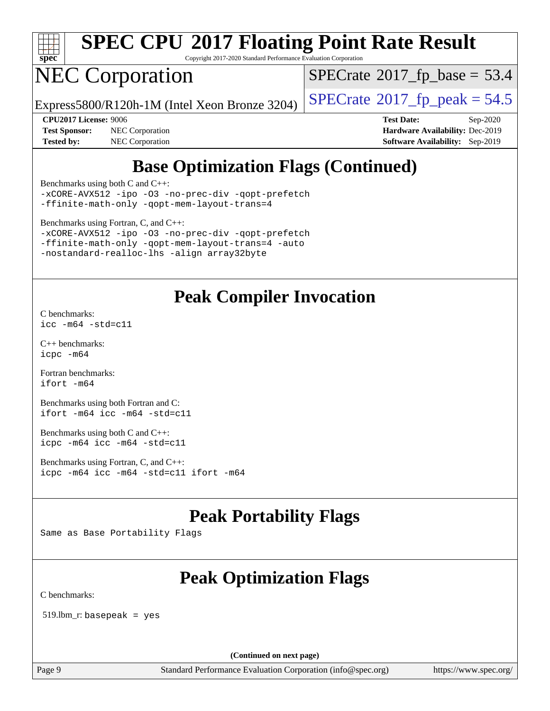

Copyright 2017-2020 Standard Performance Evaluation Corporation

# NEC Corporation

 $SPECrate$ <sup>®</sup>[2017\\_fp\\_base =](http://www.spec.org/auto/cpu2017/Docs/result-fields.html#SPECrate2017fpbase) 53.4

Express5800/R120h-1M (Intel Xeon Bronze 3204) [SPECrate](http://www.spec.org/auto/cpu2017/Docs/result-fields.html#SPECrate2017fppeak)®[2017\\_fp\\_peak = 5](http://www.spec.org/auto/cpu2017/Docs/result-fields.html#SPECrate2017fppeak)4.5

**[Tested by:](http://www.spec.org/auto/cpu2017/Docs/result-fields.html#Testedby)** NEC Corporation **[Software Availability:](http://www.spec.org/auto/cpu2017/Docs/result-fields.html#SoftwareAvailability)** Sep-2019

**[CPU2017 License:](http://www.spec.org/auto/cpu2017/Docs/result-fields.html#CPU2017License)** 9006 **[Test Date:](http://www.spec.org/auto/cpu2017/Docs/result-fields.html#TestDate)** Sep-2020 **[Test Sponsor:](http://www.spec.org/auto/cpu2017/Docs/result-fields.html#TestSponsor)** NEC Corporation **[Hardware Availability:](http://www.spec.org/auto/cpu2017/Docs/result-fields.html#HardwareAvailability)** Dec-2019

### **[Base Optimization Flags \(Continued\)](http://www.spec.org/auto/cpu2017/Docs/result-fields.html#BaseOptimizationFlags)**

[Benchmarks using both C and C++](http://www.spec.org/auto/cpu2017/Docs/result-fields.html#BenchmarksusingbothCandCXX):

[-xCORE-AVX512](http://www.spec.org/cpu2017/results/res2020q4/cpu2017-20200928-24121.flags.html#user_CC_CXXbase_f-xCORE-AVX512) [-ipo](http://www.spec.org/cpu2017/results/res2020q4/cpu2017-20200928-24121.flags.html#user_CC_CXXbase_f-ipo) [-O3](http://www.spec.org/cpu2017/results/res2020q4/cpu2017-20200928-24121.flags.html#user_CC_CXXbase_f-O3) [-no-prec-div](http://www.spec.org/cpu2017/results/res2020q4/cpu2017-20200928-24121.flags.html#user_CC_CXXbase_f-no-prec-div) [-qopt-prefetch](http://www.spec.org/cpu2017/results/res2020q4/cpu2017-20200928-24121.flags.html#user_CC_CXXbase_f-qopt-prefetch) [-ffinite-math-only](http://www.spec.org/cpu2017/results/res2020q4/cpu2017-20200928-24121.flags.html#user_CC_CXXbase_f_finite_math_only_cb91587bd2077682c4b38af759c288ed7c732db004271a9512da14a4f8007909a5f1427ecbf1a0fb78ff2a814402c6114ac565ca162485bbcae155b5e4258871) [-qopt-mem-layout-trans=4](http://www.spec.org/cpu2017/results/res2020q4/cpu2017-20200928-24121.flags.html#user_CC_CXXbase_f-qopt-mem-layout-trans_fa39e755916c150a61361b7846f310bcdf6f04e385ef281cadf3647acec3f0ae266d1a1d22d972a7087a248fd4e6ca390a3634700869573d231a252c784941a8)

[Benchmarks using Fortran, C, and C++:](http://www.spec.org/auto/cpu2017/Docs/result-fields.html#BenchmarksusingFortranCandCXX)

[-xCORE-AVX512](http://www.spec.org/cpu2017/results/res2020q4/cpu2017-20200928-24121.flags.html#user_CC_CXX_FCbase_f-xCORE-AVX512) [-ipo](http://www.spec.org/cpu2017/results/res2020q4/cpu2017-20200928-24121.flags.html#user_CC_CXX_FCbase_f-ipo) [-O3](http://www.spec.org/cpu2017/results/res2020q4/cpu2017-20200928-24121.flags.html#user_CC_CXX_FCbase_f-O3) [-no-prec-div](http://www.spec.org/cpu2017/results/res2020q4/cpu2017-20200928-24121.flags.html#user_CC_CXX_FCbase_f-no-prec-div) [-qopt-prefetch](http://www.spec.org/cpu2017/results/res2020q4/cpu2017-20200928-24121.flags.html#user_CC_CXX_FCbase_f-qopt-prefetch) [-ffinite-math-only](http://www.spec.org/cpu2017/results/res2020q4/cpu2017-20200928-24121.flags.html#user_CC_CXX_FCbase_f_finite_math_only_cb91587bd2077682c4b38af759c288ed7c732db004271a9512da14a4f8007909a5f1427ecbf1a0fb78ff2a814402c6114ac565ca162485bbcae155b5e4258871) [-qopt-mem-layout-trans=4](http://www.spec.org/cpu2017/results/res2020q4/cpu2017-20200928-24121.flags.html#user_CC_CXX_FCbase_f-qopt-mem-layout-trans_fa39e755916c150a61361b7846f310bcdf6f04e385ef281cadf3647acec3f0ae266d1a1d22d972a7087a248fd4e6ca390a3634700869573d231a252c784941a8) [-auto](http://www.spec.org/cpu2017/results/res2020q4/cpu2017-20200928-24121.flags.html#user_CC_CXX_FCbase_f-auto) [-nostandard-realloc-lhs](http://www.spec.org/cpu2017/results/res2020q4/cpu2017-20200928-24121.flags.html#user_CC_CXX_FCbase_f_2003_std_realloc_82b4557e90729c0f113870c07e44d33d6f5a304b4f63d4c15d2d0f1fab99f5daaed73bdb9275d9ae411527f28b936061aa8b9c8f2d63842963b95c9dd6426b8a) [-align array32byte](http://www.spec.org/cpu2017/results/res2020q4/cpu2017-20200928-24121.flags.html#user_CC_CXX_FCbase_align_array32byte_b982fe038af199962ba9a80c053b8342c548c85b40b8e86eb3cc33dee0d7986a4af373ac2d51c3f7cf710a18d62fdce2948f201cd044323541f22fc0fffc51b6)

### **[Peak Compiler Invocation](http://www.spec.org/auto/cpu2017/Docs/result-fields.html#PeakCompilerInvocation)**

[C benchmarks](http://www.spec.org/auto/cpu2017/Docs/result-fields.html#Cbenchmarks): [icc -m64 -std=c11](http://www.spec.org/cpu2017/results/res2020q4/cpu2017-20200928-24121.flags.html#user_CCpeak_intel_icc_64bit_c11_33ee0cdaae7deeeab2a9725423ba97205ce30f63b9926c2519791662299b76a0318f32ddfffdc46587804de3178b4f9328c46fa7c2b0cd779d7a61945c91cd35)

[C++ benchmarks:](http://www.spec.org/auto/cpu2017/Docs/result-fields.html#CXXbenchmarks) [icpc -m64](http://www.spec.org/cpu2017/results/res2020q4/cpu2017-20200928-24121.flags.html#user_CXXpeak_intel_icpc_64bit_4ecb2543ae3f1412ef961e0650ca070fec7b7afdcd6ed48761b84423119d1bf6bdf5cad15b44d48e7256388bc77273b966e5eb805aefd121eb22e9299b2ec9d9)

[Fortran benchmarks](http://www.spec.org/auto/cpu2017/Docs/result-fields.html#Fortranbenchmarks): [ifort -m64](http://www.spec.org/cpu2017/results/res2020q4/cpu2017-20200928-24121.flags.html#user_FCpeak_intel_ifort_64bit_24f2bb282fbaeffd6157abe4f878425411749daecae9a33200eee2bee2fe76f3b89351d69a8130dd5949958ce389cf37ff59a95e7a40d588e8d3a57e0c3fd751)

[Benchmarks using both Fortran and C](http://www.spec.org/auto/cpu2017/Docs/result-fields.html#BenchmarksusingbothFortranandC): [ifort -m64](http://www.spec.org/cpu2017/results/res2020q4/cpu2017-20200928-24121.flags.html#user_CC_FCpeak_intel_ifort_64bit_24f2bb282fbaeffd6157abe4f878425411749daecae9a33200eee2bee2fe76f3b89351d69a8130dd5949958ce389cf37ff59a95e7a40d588e8d3a57e0c3fd751) [icc -m64 -std=c11](http://www.spec.org/cpu2017/results/res2020q4/cpu2017-20200928-24121.flags.html#user_CC_FCpeak_intel_icc_64bit_c11_33ee0cdaae7deeeab2a9725423ba97205ce30f63b9926c2519791662299b76a0318f32ddfffdc46587804de3178b4f9328c46fa7c2b0cd779d7a61945c91cd35)

[Benchmarks using both C and C++](http://www.spec.org/auto/cpu2017/Docs/result-fields.html#BenchmarksusingbothCandCXX): [icpc -m64](http://www.spec.org/cpu2017/results/res2020q4/cpu2017-20200928-24121.flags.html#user_CC_CXXpeak_intel_icpc_64bit_4ecb2543ae3f1412ef961e0650ca070fec7b7afdcd6ed48761b84423119d1bf6bdf5cad15b44d48e7256388bc77273b966e5eb805aefd121eb22e9299b2ec9d9) [icc -m64 -std=c11](http://www.spec.org/cpu2017/results/res2020q4/cpu2017-20200928-24121.flags.html#user_CC_CXXpeak_intel_icc_64bit_c11_33ee0cdaae7deeeab2a9725423ba97205ce30f63b9926c2519791662299b76a0318f32ddfffdc46587804de3178b4f9328c46fa7c2b0cd779d7a61945c91cd35)

[Benchmarks using Fortran, C, and C++:](http://www.spec.org/auto/cpu2017/Docs/result-fields.html#BenchmarksusingFortranCandCXX) [icpc -m64](http://www.spec.org/cpu2017/results/res2020q4/cpu2017-20200928-24121.flags.html#user_CC_CXX_FCpeak_intel_icpc_64bit_4ecb2543ae3f1412ef961e0650ca070fec7b7afdcd6ed48761b84423119d1bf6bdf5cad15b44d48e7256388bc77273b966e5eb805aefd121eb22e9299b2ec9d9) [icc -m64 -std=c11](http://www.spec.org/cpu2017/results/res2020q4/cpu2017-20200928-24121.flags.html#user_CC_CXX_FCpeak_intel_icc_64bit_c11_33ee0cdaae7deeeab2a9725423ba97205ce30f63b9926c2519791662299b76a0318f32ddfffdc46587804de3178b4f9328c46fa7c2b0cd779d7a61945c91cd35) [ifort -m64](http://www.spec.org/cpu2017/results/res2020q4/cpu2017-20200928-24121.flags.html#user_CC_CXX_FCpeak_intel_ifort_64bit_24f2bb282fbaeffd6157abe4f878425411749daecae9a33200eee2bee2fe76f3b89351d69a8130dd5949958ce389cf37ff59a95e7a40d588e8d3a57e0c3fd751)

### **[Peak Portability Flags](http://www.spec.org/auto/cpu2017/Docs/result-fields.html#PeakPortabilityFlags)**

Same as Base Portability Flags

### **[Peak Optimization Flags](http://www.spec.org/auto/cpu2017/Docs/result-fields.html#PeakOptimizationFlags)**

[C benchmarks](http://www.spec.org/auto/cpu2017/Docs/result-fields.html#Cbenchmarks):

519.lbm\_r: basepeak = yes

**(Continued on next page)**

Page 9 Standard Performance Evaluation Corporation [\(info@spec.org\)](mailto:info@spec.org) <https://www.spec.org/>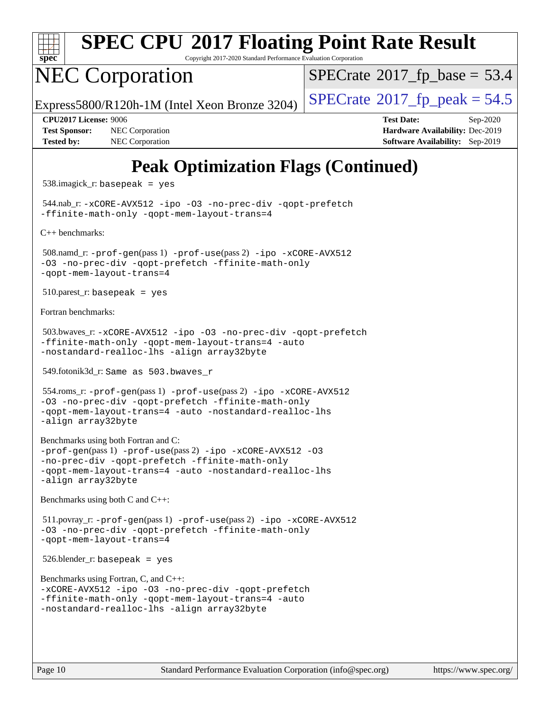

Copyright 2017-2020 Standard Performance Evaluation Corporation

# NEC Corporation

 $SPECTate@2017_fp\_base = 53.4$ 

Express5800/R120h-1M (Intel Xeon Bronze 3204) [SPECrate](http://www.spec.org/auto/cpu2017/Docs/result-fields.html#SPECrate2017fppeak)®[2017\\_fp\\_peak = 5](http://www.spec.org/auto/cpu2017/Docs/result-fields.html#SPECrate2017fppeak)4.5

**[Test Sponsor:](http://www.spec.org/auto/cpu2017/Docs/result-fields.html#TestSponsor)** NEC Corporation **[Hardware Availability:](http://www.spec.org/auto/cpu2017/Docs/result-fields.html#HardwareAvailability)** Dec-2019 **[Tested by:](http://www.spec.org/auto/cpu2017/Docs/result-fields.html#Testedby)** NEC Corporation **[Software Availability:](http://www.spec.org/auto/cpu2017/Docs/result-fields.html#SoftwareAvailability)** Sep-2019

**[CPU2017 License:](http://www.spec.org/auto/cpu2017/Docs/result-fields.html#CPU2017License)** 9006 **[Test Date:](http://www.spec.org/auto/cpu2017/Docs/result-fields.html#TestDate)** Sep-2020

### **[Peak Optimization Flags \(Continued\)](http://www.spec.org/auto/cpu2017/Docs/result-fields.html#PeakOptimizationFlags)**

538.imagick\_r: basepeak = yes

 544.nab\_r: [-xCORE-AVX512](http://www.spec.org/cpu2017/results/res2020q4/cpu2017-20200928-24121.flags.html#user_peakCOPTIMIZE544_nab_r_f-xCORE-AVX512) [-ipo](http://www.spec.org/cpu2017/results/res2020q4/cpu2017-20200928-24121.flags.html#user_peakCOPTIMIZE544_nab_r_f-ipo) [-O3](http://www.spec.org/cpu2017/results/res2020q4/cpu2017-20200928-24121.flags.html#user_peakCOPTIMIZE544_nab_r_f-O3) [-no-prec-div](http://www.spec.org/cpu2017/results/res2020q4/cpu2017-20200928-24121.flags.html#user_peakCOPTIMIZE544_nab_r_f-no-prec-div) [-qopt-prefetch](http://www.spec.org/cpu2017/results/res2020q4/cpu2017-20200928-24121.flags.html#user_peakCOPTIMIZE544_nab_r_f-qopt-prefetch) [-ffinite-math-only](http://www.spec.org/cpu2017/results/res2020q4/cpu2017-20200928-24121.flags.html#user_peakCOPTIMIZE544_nab_r_f_finite_math_only_cb91587bd2077682c4b38af759c288ed7c732db004271a9512da14a4f8007909a5f1427ecbf1a0fb78ff2a814402c6114ac565ca162485bbcae155b5e4258871) [-qopt-mem-layout-trans=4](http://www.spec.org/cpu2017/results/res2020q4/cpu2017-20200928-24121.flags.html#user_peakCOPTIMIZE544_nab_r_f-qopt-mem-layout-trans_fa39e755916c150a61361b7846f310bcdf6f04e385ef281cadf3647acec3f0ae266d1a1d22d972a7087a248fd4e6ca390a3634700869573d231a252c784941a8)

[C++ benchmarks:](http://www.spec.org/auto/cpu2017/Docs/result-fields.html#CXXbenchmarks)

```
 508.namd_r: -prof-gen(pass 1) -prof-use(pass 2) -ipo -xCORE-AVX512
-O3 -no-prec-div -qopt-prefetch -ffinite-math-only
-qopt-mem-layout-trans=4
```
 $510.parest_r:$  basepeak = yes

[Fortran benchmarks](http://www.spec.org/auto/cpu2017/Docs/result-fields.html#Fortranbenchmarks):

```
 503.bwaves_r: -xCORE-AVX512 -ipo -O3 -no-prec-div -qopt-prefetch
-ffinite-math-only -qopt-mem-layout-trans=4 -auto
-nostandard-realloc-lhs -align array32byte
```
549.fotonik3d\_r: Same as 503.bwaves\_r

```
 554.roms_r: -prof-gen(pass 1) -prof-use(pass 2) -ipo -xCORE-AVX512
-O3 -no-prec-div -qopt-prefetch -ffinite-math-only
-qopt-mem-layout-trans=4 -auto -nostandard-realloc-lhs
-align array32byte
```

```
Benchmarks using both Fortran and C: 
-prof-gen(pass 1) -prof-use(pass 2) -ipo -xCORE-AVX512 -O3
-no-prec-div -qopt-prefetch -ffinite-math-only
-qopt-mem-layout-trans=4 -auto -nostandard-realloc-lhs
-align array32byte
```
[Benchmarks using both C and C++](http://www.spec.org/auto/cpu2017/Docs/result-fields.html#BenchmarksusingbothCandCXX):

```
 511.povray_r: -prof-gen(pass 1) -prof-use(pass 2) -ipo -xCORE-AVX512
-O3 -no-prec-div -qopt-prefetch -ffinite-math-only
-qopt-mem-layout-trans=4
```
 $526.$ blender\_r: basepeak = yes

```
Benchmarks using Fortran, C, and C++: 
-xCORE-AVX512 -ipo -O3 -no-prec-div -qopt-prefetch
-ffinite-math-only -qopt-mem-layout-trans=4 -auto
-nostandard-realloc-lhs -align array32byte
```